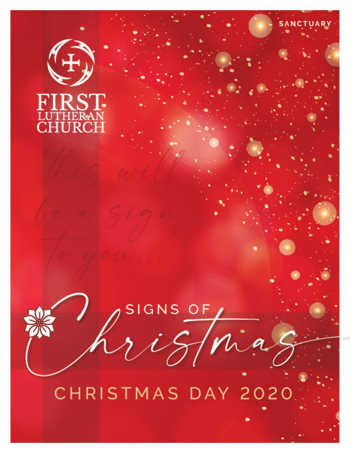



SIGNS OF

nia

**SANCTUARY** 

# CHRISTMAS DAY 2020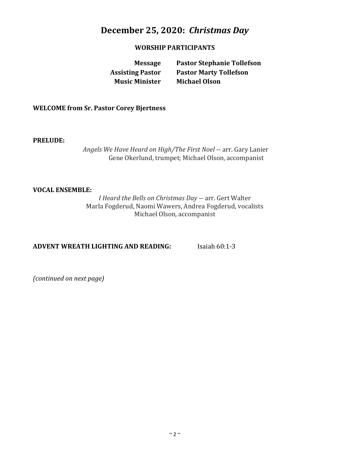# **December 25, 2020:** *Christmas Day*

## **WORSHIP PARTICIPANTS**

**Message Pastor Stephanie Tollefson Assisting Pastor Pastor Marty Tollefson Music Minister Michael Olson**

## **WELCOME from Sr. Pastor Corey Bjertness**

#### **PRELUDE:**

*Angels We Have Heard on High/The First Noel* -- arr. Gary Lanier Gene Okerlund, trumpet; Michael Olson, accompanist

#### **VOCAL ENSEMBLE:**

*I Heard the Bells on Christmas Day* -- arr. Gert Walter Marla Fogderud, Naomi Wawers, Andrea Fogderud, vocalists Michael Olson, accompanist

## **ADVENT WREATH LIGHTING AND READING:** Isaiah 60:1-3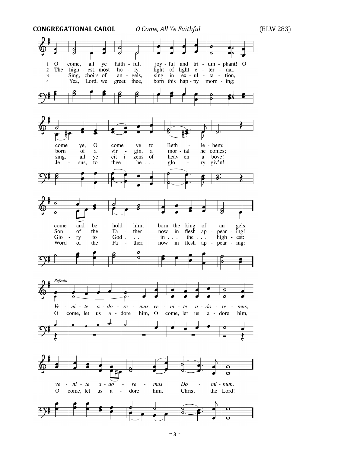**CONGREGATIONAL CAROL** *O Come, All Ye Faithful* (ELW 283)

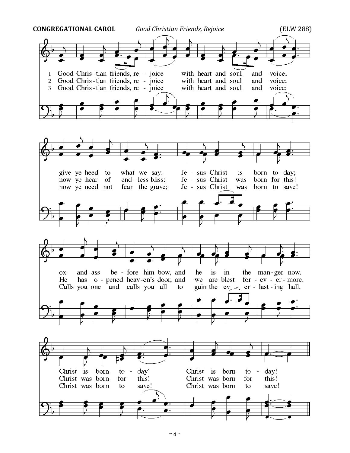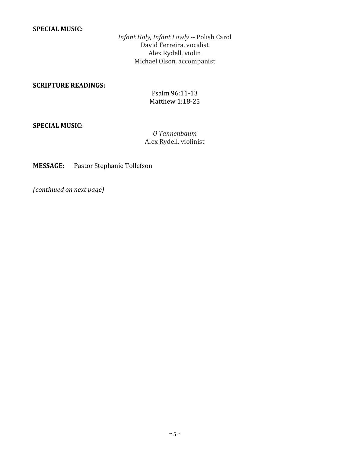## **SPECIAL MUSIC:**

*Infant Holy, Infant Lowly --* Polish Carol David Ferreira, vocalist Alex Rydell, violin Michael Olson, accompanist

## **SCRIPTURE READINGS:**

# Psalm 96:11-13 Matthew 1:18-25

#### **SPECIAL MUSIC:**

*O Tannenbaum* Alex Rydell, violinist

**MESSAGE:** Pastor Stephanie Tollefson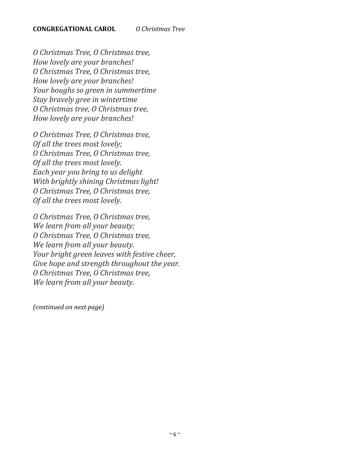*O Christmas Tree, O Christmas tree, How lovely are your branches! O Christmas Tree, O Christmas tree, How lovely are your branches! Your boughs so green in summertime Stay bravely gree in wintertime O Christmas tree, O Christmas tree, How lovely are your branches!*

*O Christmas Tree, O Christmas tree, Of all the trees most lovely; O Christmas Tree, O Christmas tree, Of all the trees most lovely. Each year you bring to us delight With brightly shining Christmas light! O Christmas Tree, O Christmas tree, Of all the trees most lovely.*

*O Christmas Tree, O Christmas tree, We learn from all your beauty; O Christmas Tree, O Christmas tree, We learn from all your beauty. Your bright green leaves with festive cheer, Give hope and strength throughout the year. O Christmas Tree, O Christmas tree, We learn from all your beauty.*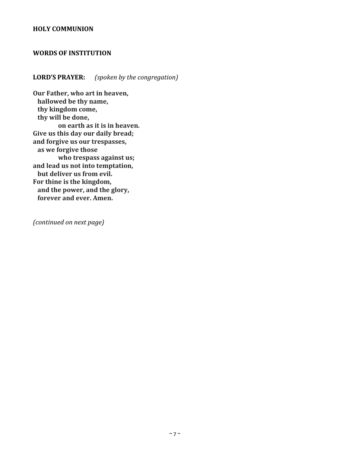### **HOLY COMMUNION**

#### **WORDS OF INSTITUTION**

**LORD'S PRAYER:** *(spoken by the congregation)*

**Our Father, who art in heaven, hallowed be thy name, thy kingdom come, thy will be done, on earth as it is in heaven. Give us this day our daily bread; and forgive us our trespasses, as we forgive those who trespass against us; and lead us not into temptation, but deliver us from evil. For thine is the kingdom, and the power, and the glory, forever and ever. Amen.**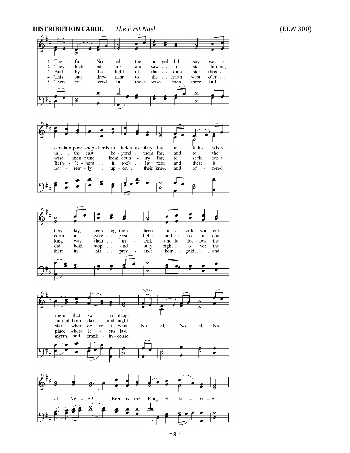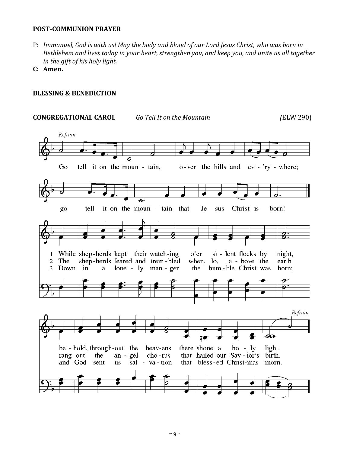#### **POST-COMMUNION PRAYER**

- P: *Immanuel, God is with us! May the body and blood of our Lord Jesus Christ, who was born in Bethlehem and lives today in your heart, strengthen you, and keep you, and unite us all together in the gift of his holy light.*
- **C: Amen.**

#### **BLESSING & BENEDICTION**

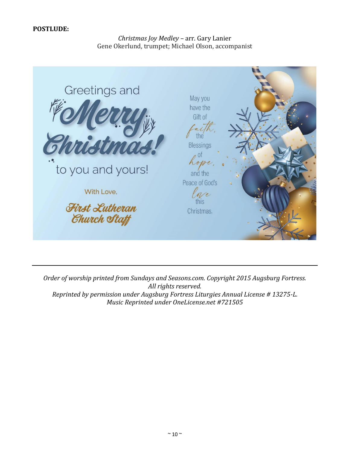## **POSTLUDE:**

# *Christmas Joy Medley* – arr. Gary Lanier Gene Okerlund, trumpet; Michael Olson, accompanist

*Order of worship printed from Sundays and Seasons.com. Copyright 2015 Augsburg Fortress. All rights reserved. Reprinted by permission under Augsburg Fortress Liturgies Annual License # 13275-L. Music Reprinted under OneLicense.net #721505*